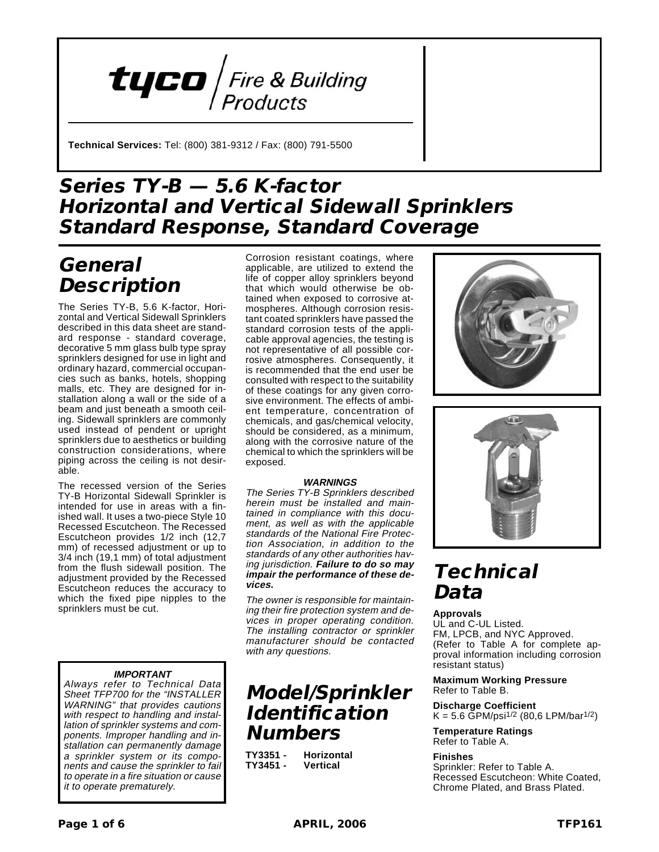

**Technical Services:** Tel: (800) 381-9312 / Fax: (800) 791-5500

## **Series TY-B — 5.6 K-factor Horizontal and Vertical Sidewall Sprinklers Standard Response, Standard Coverage**

## **General Description**

The Series TY-B, 5.6 K-factor, Horizontal and Vertical Sidewall Sprinklers described in this data sheet are standard response - standard coverage, decorative 5 mm glass bulb type spray sprinklers designed for use in light and ordinary hazard, commercial occupancies such as banks, hotels, shopping malls, etc. They are designed for installation along a wall or the side of a beam and just beneath a smooth ceiling. Sidewall sprinklers are commonly used instead of pendent or upright sprinklers due to aesthetics or building construction considerations, where piping across the ceiling is not desirable.

The recessed version of the Series TY-B Horizontal Sidewall Sprinkler is intended for use in areas with a finished wall. It uses a two-piece Style 10 Recessed Escutcheon. The Recessed Escutcheon provides 1/2 inch (12,7 mm) of recessed adjustment or up to 3/4 inch (19,1 mm) of total adjustment from the flush sidewall position. The adjustment provided by the Recessed Escutcheon reduces the accuracy to which the fixed pipe nipples to the sprinklers must be cut.

### **IMPORTANT**

Always refer to Technical Data Sheet TFP700 for the "INSTALLER WARNING" that provides cautions with respect to handling and installation of sprinkler systems and components. Improper handling and installation can permanently damage <sup>a</sup> sprinkler system or its components and cause the sprinkler to fail to operate in <sup>a</sup> fire situation or cause it to operate prematurely.

Corrosion resistant coatings, where applicable, are utilized to extend the life of copper alloy sprinklers beyond that which would otherwise be obtained when exposed to corrosive atmospheres. Although corrosion resistant coated sprinklers have passed the standard corrosion tests of the applicable approval agencies, the testing is not representative of all possible corrosive atmospheres. Consequently, it is recommended that the end user be consulted with respect to the suitability of these coatings for any given corrosive environment. The effects of ambient temperature, concentration of chemicals, and gas/chemical velocity, should be considered, as a minimum, along with the corrosive nature of the chemical to which the sprinklers will be exposed.

### **WARNINGS**

The Series TY-B Sprinklers described herein must be installed and maintained in compliance with this document, as well as with the applicable standards of the National Fire Protection Association, in addition to the standards of any other authorities having jurisdiction. **Failure to do so may impair the performance of these devices.**

The owner is responsible for maintaining their fire protection system and devices in proper operating condition. The installing contractor or sprinkler manufacturer should be contacted with any questions.

### **Model/Sprinkler Identification Numbers**

**TY3351 - Horizontal TY3451 - Vertical**





## **Technical Data**

#### **Approvals**

UL and C-UL Listed. FM, LPCB, and NYC Approved. (Refer to Table A for complete approval information including corrosion resistant status)

#### **Maximum Working Pressure** Refer to Table B.

**Discharge Coefficient**  $K = 5.6$  GPM/psi<sup>1/2</sup> (80,6 LPM/bar<sup>1/2</sup>)

**Temperature Ratings** Refer to Table A.

### **Finishes**

Sprinkler: Refer to Table A. Recessed Escutcheon: White Coated, Chrome Plated, and Brass Plated.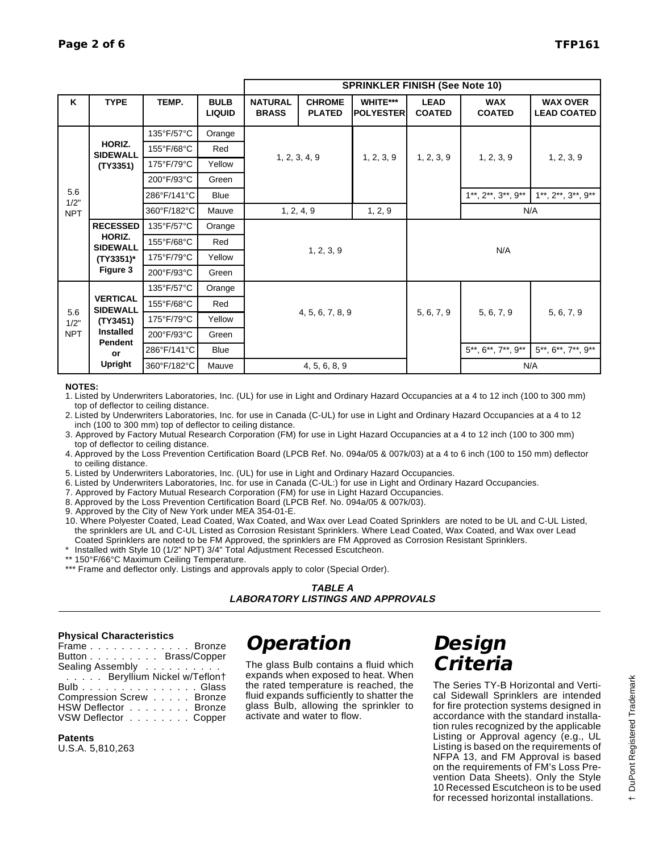|                           |                                                                                            |             |                              | <b>SPRINKLER FINISH (See Note 10)</b> |                                |                              |                              |                                           |                                       |  |
|---------------------------|--------------------------------------------------------------------------------------------|-------------|------------------------------|---------------------------------------|--------------------------------|------------------------------|------------------------------|-------------------------------------------|---------------------------------------|--|
| Κ                         | <b>TYPE</b>                                                                                | TEMP.       | <b>BULB</b><br><b>LIQUID</b> | <b>NATURAL</b><br><b>BRASS</b>        | <b>CHROME</b><br><b>PLATED</b> | WHITE***<br><b>POLYESTER</b> | <b>LEAD</b><br><b>COATED</b> | <b>WAX</b><br><b>COATED</b>               | <b>WAX OVER</b><br><b>LEAD COATED</b> |  |
|                           | HORIZ.<br><b>SIDEWALL</b><br>(TY3351)                                                      | 135°F/57°C  | Orange                       |                                       |                                | 1, 2, 3, 9                   | 1, 2, 3, 9                   | 1, 2, 3, 9                                | 1, 2, 3, 9                            |  |
| 5.6<br>1/2"<br><b>NPT</b> |                                                                                            | 155°F/68°C  | Red                          | 1, 2, 3, 4, 9                         |                                |                              |                              |                                           |                                       |  |
|                           |                                                                                            | 175°F/79°C  | Yellow                       |                                       |                                |                              |                              |                                           |                                       |  |
|                           |                                                                                            | 200°F/93°C  | Green                        |                                       |                                |                              |                              |                                           |                                       |  |
|                           |                                                                                            | 286°F/141°C | <b>Blue</b>                  |                                       |                                |                              |                              | $1^{**}$ , $2^{**}$ , $3^{**}$ , $9^{**}$ | $1**$ , $2**$ , $3**$ , $9**$         |  |
|                           |                                                                                            | 360°F/182°C | Mauve                        | 1, 2, 4, 9                            |                                | 1, 2, 9                      | N/A                          |                                           |                                       |  |
|                           | <b>RECESSED</b>                                                                            | 135°F/57°C  | Orange                       |                                       |                                |                              |                              |                                           |                                       |  |
|                           | HORIZ.<br><b>SIDEWALL</b><br>(TY3351)*                                                     | 155°F/68°C  | Red                          |                                       |                                |                              |                              | N/A                                       |                                       |  |
|                           |                                                                                            | 175°F/79°C  | Yellow                       |                                       | 1, 2, 3, 9                     |                              |                              |                                           |                                       |  |
|                           | Figure 3                                                                                   | 200°F/93°C  | Green                        |                                       |                                |                              |                              |                                           |                                       |  |
|                           |                                                                                            | 135°F/57°C  | Orange                       |                                       |                                |                              |                              |                                           |                                       |  |
|                           | <b>VERTICAL</b><br><b>SIDEWALL</b><br>(TY3451)<br><b>Installed</b><br>Pendent<br><b>or</b> | 155°F/68°C  | Red                          |                                       |                                |                              |                              | 5, 6, 7, 9                                | 5, 6, 7, 9                            |  |
| 5.6<br>1/2"<br><b>NPT</b> |                                                                                            | 175°F/79°C  | Yellow                       |                                       | 4, 5, 6, 7, 8, 9               |                              | 5, 6, 7, 9                   |                                           |                                       |  |
|                           |                                                                                            | 200°F/93°C  | Green                        |                                       |                                |                              |                              |                                           |                                       |  |
|                           |                                                                                            | 286°F/141°C | Blue                         |                                       |                                |                              |                              | $5^{**}, 6^{**}, 7^{**}, 9^{**}$          | 5**, 6**, 7**, 9**                    |  |
|                           | Upright                                                                                    | 360°F/182°C | Mauve                        | 4, 5, 6, 8, 9                         |                                |                              |                              | N/A                                       |                                       |  |

**NOTES:**

1. Listed by Underwriters Laboratories, Inc. (UL) for use in Light and Ordinary Hazard Occupancies at a 4 to 12 inch (100 to 300 mm) top of deflector to ceiling distance.

2. Listed by Underwriters Laboratories, Inc. for use in Canada (C-UL) for use in Light and Ordinary Hazard Occupancies at a 4 to 12 inch (100 to 300 mm) top of deflector to ceiling distance.

3. Approved by Factory Mutual Research Corporation (FM) for use in Light Hazard Occupancies at a 4 to 12 inch (100 to 300 mm) top of deflector to ceiling distance.

4. Approved by the Loss Prevention Certification Board (LPCB Ref. No. 094a/05 & 007k/03) at a 4 to 6 inch (100 to 150 mm) deflector to ceiling distance.

5. Listed by Underwriters Laboratories, Inc. (UL) for use in Light and Ordinary Hazard Occupancies.

6. Listed by Underwriters Laboratories, Inc. for use in Canada (C-UL:) for use in Light and Ordinary Hazard Occupancies.

- 7. Approved by Factory Mutual Research Corporation (FM) for use in Light Hazard Occupancies.
- 8. Approved by the Loss Prevention Certification Board (LPCB Ref. No. 094a/05 & 007k/03).

9. Approved by the City of New York under MEA 354-01-E.

10. Where Polyester Coated, Lead Coated, Wax Coated, and Wax over Lead Coated Sprinklers are noted to be UL and C-UL Listed, the sprinklers are UL and C-UL Listed as Corrosion Resistant Sprinklers. Where Lead Coated, Wax Coated, and Wax over Lead Coated Sprinklers are noted to be FM Approved, the sprinklers are FM Approved as Corrosion Resistant Sprinklers.

\* Installed with Style 10 (1/2" NPT) 3/4" Total Adjustment Recessed Escutcheon.

\*\* 150°F/66°C Maximum Ceiling Temperature.

\*\*\* Frame and deflector only. Listings and approvals apply to color (Special Order).

### **Physical Characteristics**

| FrameBronze                |  |
|----------------------------|--|
| Button Brass/Copper        |  |
| Sealing Assembly           |  |
| Beryllium Nickel w/Teflon† |  |
| Bulb.................Blass |  |
| Compression Screw Bronze   |  |
| HSW Deflector Bronze       |  |
| VSW Deflector Copper       |  |

**Patents** U.S.A. 5,810,263

# **Operation**

The glass Bulb contains a fluid which expands when exposed to heat. When the rated temperature is reached, the fluid expands sufficiently to shatter the glass Bulb, allowing the sprinkler to activate and water to flow.

## **Design Criteria**

The Series TY-B Horizontal and Vertical Sidewall Sprinklers are intended for fire protection systems designed in accordance with the standard installation rules recognized by the applicable Listing or Approval agency (e.g., UL Listing is based on the requirements of NFPA 13, and FM Approval is based on the requirements of FM's Loss Prevention Data Sheets). Only the Style 10 Recessed Escutcheon is to be used for recessed horizontal installations.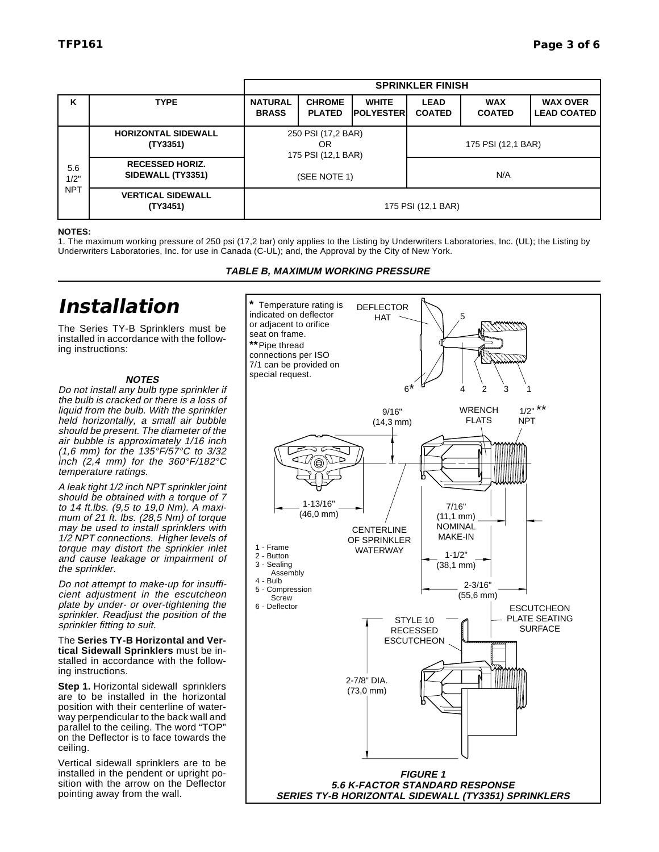|                           |                                             | <b>SPRINKLER FINISH</b>                        |                                |                                   |                              |                             |                                       |  |
|---------------------------|---------------------------------------------|------------------------------------------------|--------------------------------|-----------------------------------|------------------------------|-----------------------------|---------------------------------------|--|
| K                         | <b>TYPE</b>                                 | <b>NATURAL</b><br><b>BRASS</b>                 | <b>CHROME</b><br><b>PLATED</b> | <b>WHITE</b><br><b>IPOLYESTER</b> | <b>LEAD</b><br><b>COATED</b> | <b>WAX</b><br><b>COATED</b> | <b>WAX OVER</b><br><b>LEAD COATED</b> |  |
| 5.6<br>1/2"<br><b>NPT</b> | <b>HORIZONTAL SIDEWALL</b><br>(TY3351)      | 250 PSI (17,2 BAR)<br>OR<br>175 PSI (12,1 BAR) |                                |                                   | 175 PSI (12,1 BAR)           |                             |                                       |  |
|                           | <b>RECESSED HORIZ.</b><br>SIDEWALL (TY3351) |                                                | (SEE NOTE 1)                   |                                   | N/A                          |                             |                                       |  |
|                           | <b>VERTICAL SIDEWALL</b><br>(TY3451)        | 175 PSI (12,1 BAR)                             |                                |                                   |                              |                             |                                       |  |

#### **NOTES:**

1. The maximum working pressure of 250 psi (17,2 bar) only applies to the Listing by Underwriters Laboratories, Inc. (UL); the Listing by Underwriters Laboratories, Inc. for use in Canada (C-UL); and, the Approval by the City of New York.

#### **TABLE B, MAXIMUM WORKING PRESSURE**

### **Installation**

The Series TY-B Sprinklers must be installed in accordance with the following instructions:

#### **NOTES**

Do not install any bulb type sprinkler if the bulb is cracked or there is a loss of liquid from the bulb. With the sprinkler held horizontally, <sup>a</sup> small air bubble should be present. The diameter of the air bubble is approximately 1/16 inch (1,6 mm) for the 135°F/57°C to 3/32 inch  $(2, 4 \text{ mm})$  for the 360°F/182°C temperature ratings.

A leak tight 1/2 inch NPT sprinkler joint should be obtained with a torque of 7 to 14 ft.lbs. (9,5 to 19,0 Nm). A maximum of 21 ft. lbs. (28,5 Nm) of torque may be used to install sprinklers with 1/2 NPT connections. Higher levels of torque may distort the sprinkler inlet and cause leakage or impairment of the sprinkler.

Do not attempt to make-up for insufficient adjustment in the escutcheon plate by under- or over-tightening the sprinkler. Readjust the position of the sprinkler fitting to suit.

The **Series TY-B Horizontal and Vertical Sidewall Sprinklers** must be installed in accordance with the following instructions.

**Step 1.** Horizontal sidewall sprinklers are to be installed in the horizontal position with their centerline of waterway perpendicular to the back wall and parallel to the ceiling. The word "TOP" on the Deflector is to face towards the ceiling.

Vertical sidewall sprinklers are to be installed in the pendent or upright position with the arrow on the Deflector pointing away from the wall.

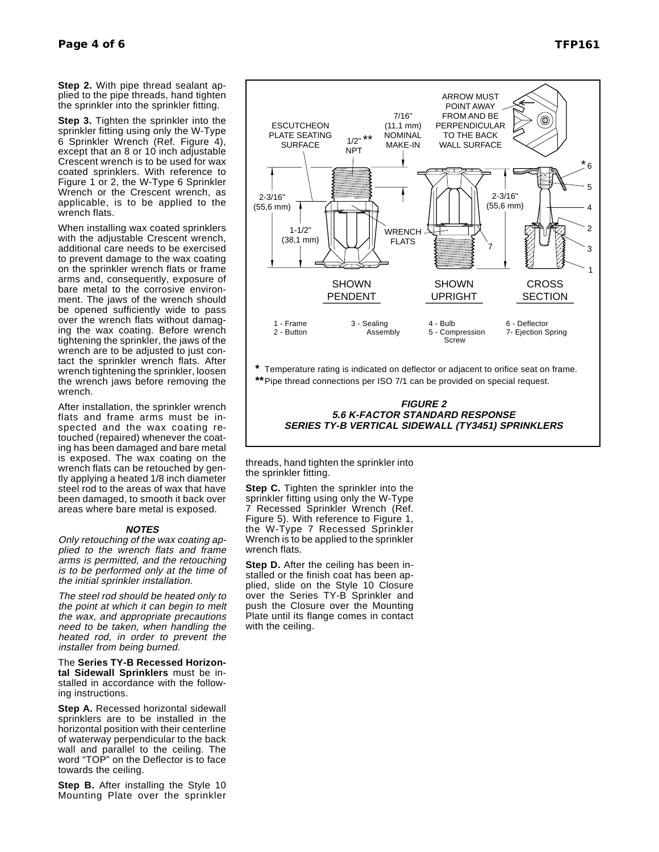**Step 2.** With pipe thread sealant applied to the pipe threads, hand tighten the sprinkler into the sprinkler fitting.

**Step 3.** Tighten the sprinkler into the sprinkler fitting using only the W-Type 6 Sprinkler Wrench (Ref. Figure 4), except that an 8 or 10 inch adjustable Crescent wrench is to be used for wax coated sprinklers. With reference to Figure 1 or 2, the W-Type 6 Sprinkler Wrench or the Crescent wrench, as applicable, is to be applied to the wrench flats.

When installing wax coated sprinklers with the adjustable Crescent wrench. additional care needs to be exercised to prevent damage to the wax coating on the sprinkler wrench flats or frame arms and, consequently, exposure of bare metal to the corrosive environment. The jaws of the wrench should be opened sufficiently wide to pass over the wrench flats without damaging the wax coating. Before wrench tightening the sprinkler, the jaws of the wrench are to be adjusted to just contact the sprinkler wrench flats. After wrench tightening the sprinkler, loosen the wrench jaws before removing the wrench.

After installation, the sprinkler wrench flats and frame arms must be inspected and the wax coating retouched (repaired) whenever the coating has been damaged and bare metal is exposed. The wax coating on the wrench flats can be retouched by gently applying a heated 1/8 inch diameter steel rod to the areas of wax that have been damaged, to smooth it back over areas where bare metal is exposed.

#### **NOTES**

Only retouching of the wax coating applied to the wrench flats and frame arms is permitted, and the retouching is to be performed only at the time of the initial sprinkler installation.

The steel rod should be heated only to the point at which it can begin to melt the wax, and appropriate precautions need to be taken, when handling the heated rod, in order to prevent the installer from being burned.

The **Series TY-B Recessed Horizontal Sidewall Sprinklers** must be installed in accordance with the following instructions.

**Step A.** Recessed horizontal sidewall sprinklers are to be installed in the horizontal position with their centerline of waterway perpendicular to the back wall and parallel to the ceiling. The word "TOP" on the Deflector is to face towards the ceiling.

**Step B.** After installing the Style 10 Mounting Plate over the sprinkler



#### **FIGURE 2 5.6 K-FACTOR STANDARD RESPONSE SERIES TY-B VERTICAL SIDEWALL (TY3451) SPRINKLERS**

threads, hand tighten the sprinkler into the sprinkler fitting.

**Step C.** Tighten the sprinkler into the sprinkler fitting using only the W-Type Recessed Sprinkler Wrench (Ref. Figure 5). With reference to Figure 1, the W-Type 7 Recessed Sprinkler Wrench is to be applied to the sprinkler wrench flats.

**Step D.** After the ceiling has been installed or the finish coat has been applied, slide on the Style 10 Closure over the Series TY-B Sprinkler and push the Closure over the Mounting Plate until its flange comes in contact with the ceiling.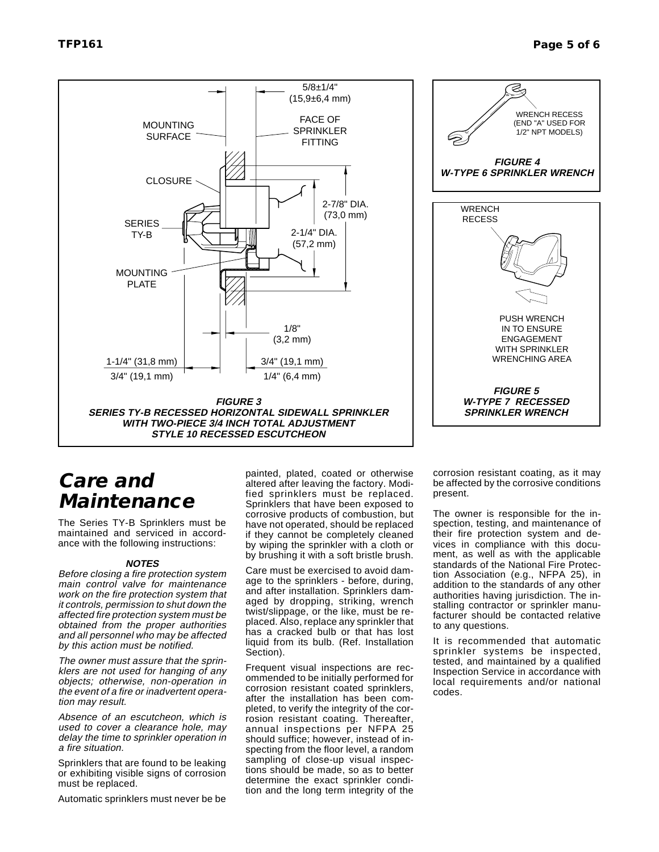

## **Care and Maintenance**

The Series TY-B Sprinklers must be maintained and serviced in accordance with the following instructions:

#### **NOTES**

Before closing <sup>a</sup> fire protection system main control valve for maintenance work on the fire protection system that it controls, permission to shut down the affected fire protection system must be obtained from the proper authorities and all personnel who may be affected by this action must be notified.

The owner must assure that the sprinklers are not used for hanging of any objects; otherwise, non-operation in the event of <sup>a</sup> fire or inadvertent operation may result.

Absence of an escutcheon, which is used to cover <sup>a</sup> clearance hole, may delay the time to sprinkler operation in a fire situation.

Sprinklers that are found to be leaking or exhibiting visible signs of corrosion must be replaced.

Automatic sprinklers must never be be

painted, plated, coated or otherwise altered after leaving the factory. Modified sprinklers must be replaced. Sprinklers that have been exposed to corrosive products of combustion, but have not operated, should be replaced if they cannot be completely cleaned by wiping the sprinkler with a cloth or by brushing it with a soft bristle brush.

Care must be exercised to avoid damage to the sprinklers - before, during, and after installation. Sprinklers damaged by dropping, striking, wrench twist/slippage, or the like, must be replaced. Also, replace any sprinkler that has a cracked bulb or that has lost liquid from its bulb. (Ref. Installation Section).

Frequent visual inspections are recommended to be initially performed for corrosion resistant coated sprinklers, after the installation has been completed, to verify the integrity of the corrosion resistant coating. Thereafter, annual inspections per NFPA 25 should suffice; however, instead of inspecting from the floor level, a random sampling of close-up visual inspections should be made, so as to better determine the exact sprinkler condition and the long term integrity of the corrosion resistant coating, as it may be affected by the corrosive conditions present.

The owner is responsible for the inspection, testing, and maintenance of their fire protection system and devices in compliance with this document, as well as with the applicable standards of the National Fire Protection Association (e.g., NFPA 25), in addition to the standards of any other authorities having jurisdiction. The installing contractor or sprinkler manufacturer should be contacted relative to any questions.

It is recommended that automatic sprinkler systems be inspected, tested, and maintained by a qualified Inspection Service in accordance with local requirements and/or national codes.